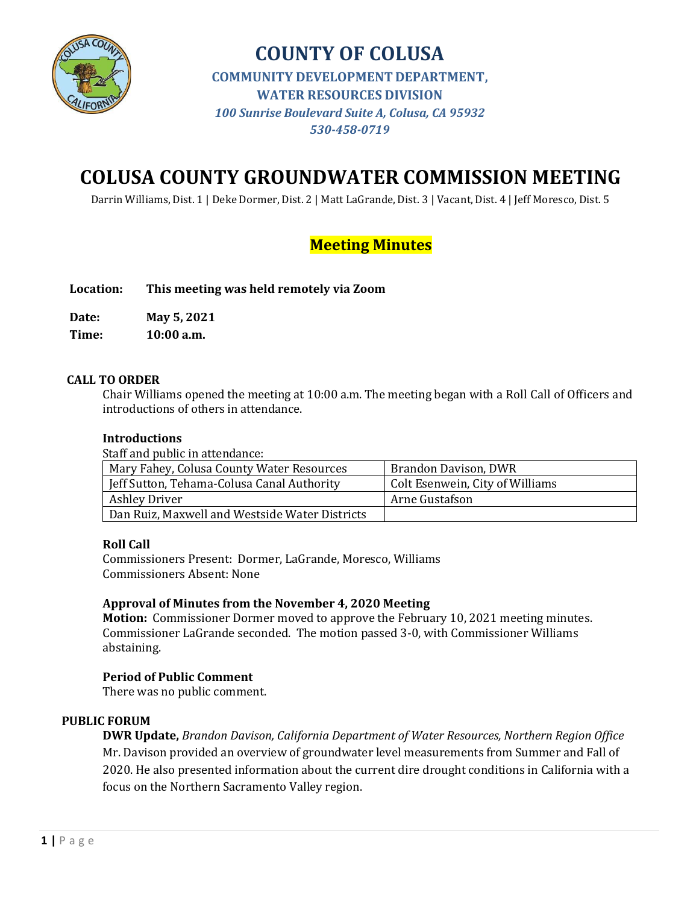

**COUNTY OF COLUSA COMMUNITY DEVELOPMENT DEPARTMENT, WATER RESOURCES DIVISION** *100 Sunrise Boulevard Suite A, Colusa, CA 95932 530-458-0719*

# **COLUSA COUNTY GROUNDWATER COMMISSION MEETING**

Darrin Williams, Dist. 1 | Deke Dormer, Dist. 2 | Matt LaGrande, Dist. 3 | Vacant, Dist. 4 | Jeff Moresco, Dist. 5

## **Meeting Minutes**

**Location: This meeting was held remotely via Zoom**

**Date: May 5, 2021**

**Time: 10:00 a.m.**

#### **CALL TO ORDER**

Chair Williams opened the meeting at 10:00 a.m. The meeting began with a Roll Call of Officers and introductions of others in attendance.

#### **Introductions**

Staff and public in attendance:

| Mary Fahey, Colusa County Water Resources      | Brandon Davison, DWR            |
|------------------------------------------------|---------------------------------|
| Jeff Sutton, Tehama-Colusa Canal Authority     | Colt Esenwein, City of Williams |
| <b>Ashley Driver</b>                           | Arne Gustafson                  |
| Dan Ruiz, Maxwell and Westside Water Districts |                                 |

#### **Roll Call**

Commissioners Present: Dormer, LaGrande, Moresco, Williams Commissioners Absent: None

#### **Approval of Minutes from the November 4, 2020 Meeting**

**Motion:** Commissioner Dormer moved to approve the February 10, 2021 meeting minutes. Commissioner LaGrande seconded. The motion passed 3-0, with Commissioner Williams abstaining.

#### **Period of Public Comment**

There was no public comment.

#### **PUBLIC FORUM**

**DWR Update,** *Brandon Davison, California Department of Water Resources, Northern Region Office*  Mr. Davison provided an overview of groundwater level measurements from Summer and Fall of 2020. He also presented information about the current dire drought conditions in California with a focus on the Northern Sacramento Valley region.